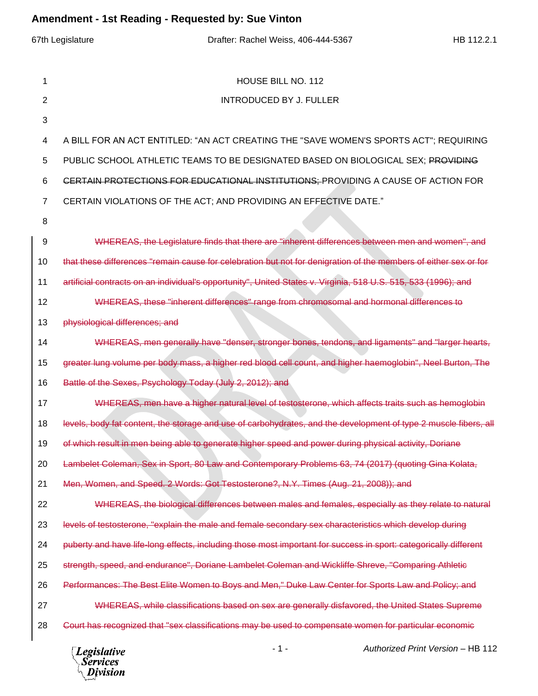|                | 67th Legislature<br>Drafter: Rachel Weiss, 406-444-5367<br>HB 112.2.1                                            |  |
|----------------|------------------------------------------------------------------------------------------------------------------|--|
|                |                                                                                                                  |  |
| 1              | HOUSE BILL NO. 112                                                                                               |  |
| 2              | <b>INTRODUCED BY J. FULLER</b>                                                                                   |  |
| 3              |                                                                                                                  |  |
| 4              | A BILL FOR AN ACT ENTITLED: "AN ACT CREATING THE "SAVE WOMEN'S SPORTS ACT"; REQUIRING                            |  |
| 5              | PUBLIC SCHOOL ATHLETIC TEAMS TO BE DESIGNATED BASED ON BIOLOGICAL SEX; PROVIDING                                 |  |
| 6              | CERTAIN PROTECTIONS FOR EDUCATIONAL INSTITUTIONS: PROVIDING A CAUSE OF ACTION FOR                                |  |
| $\overline{7}$ | CERTAIN VIOLATIONS OF THE ACT; AND PROVIDING AN EFFECTIVE DATE."                                                 |  |
| 8              |                                                                                                                  |  |
| 9              | WHEREAS, the Legislature finds that there are "inherent differences between men and women", and                  |  |
| 10             | that these differences "remain cause for celebration but not for denigration of the members of either sex or for |  |
| 11             | artificial contracts on an individual's opportunity", United States v. Virginia, 518 U.S. 515, 533 (1996); and   |  |
| 12             | WHEREAS, these "inherent differences" range from chromosomal and hormonal differences to                         |  |
| 13             | physiological differences; and                                                                                   |  |
| 14             | WHEREAS, men generally have "denser, stronger bones, tendons, and ligaments" and "larger hearts,                 |  |
| 15             | greater lung volume per body mass, a higher red blood cell count, and higher haemoglobin", Neel Burton, The      |  |
| 16             | Battle of the Sexes, Psychology Today (July 2, 2012); and                                                        |  |
| 17             | WHEREAS, men have a higher natural level of testosterone, which affects traits such as hemoglobin                |  |
| 18             | levels, body fat content, the storage and use of carbohydrates, and the development of type 2 muscle fibers, all |  |
| 19             | of which result in men being able to generate higher speed and power during physical activity, Doriane           |  |
| 20             | Lambelet Coleman, Sex in Sport, 80 Law and Contemporary Problems 63, 74 (2017) (quoting Gina Kolata,             |  |
| 21             | Men, Women, and Speed. 2 Words: Got Testosterone?, N.Y. Times (Aug. 21, 2008)); and                              |  |
| 22             | WHEREAS, the biological differences between males and females, especially as they relate to natural              |  |
| 23             | levels of testosterone, "explain the male and female secondary sex characteristics which develop during          |  |
| 24             | puberty and have life-long effects, including those most important for success in sport: categorically different |  |
| 25             | strength, speed, and endurance", Doriane Lambelet Coleman and Wickliffe Shreve, "Comparing Athletic              |  |
| 26             | Performances: The Best Elite Women to Boys and Men," Duke Law Center for Sports Law and Policy; and              |  |
| 27             | WHEREAS, while classifications based on sex are generally disfavored, the United States Supreme                  |  |
| 28             | Court has recognized that "sex classifications may be used to compensate women for particular economic           |  |
|                | LID $440$                                                                                                        |  |

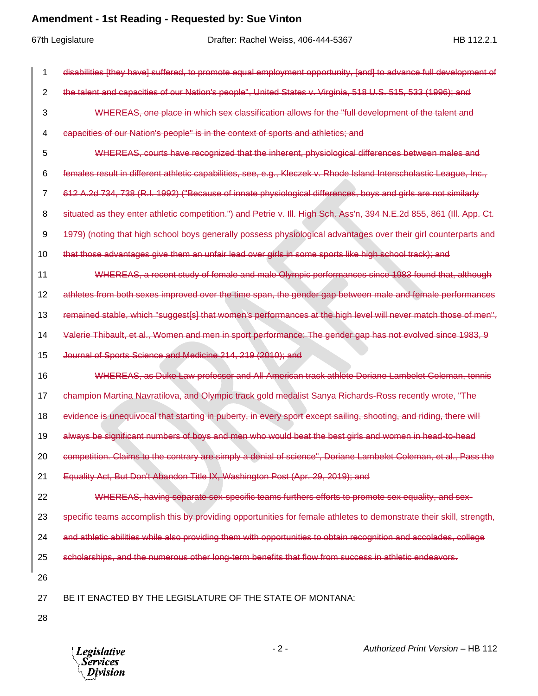67th Legislature Drafter: Rachel Weiss, 406-444-5367 HB 112.2.1 disabilities [they have] suffered, to promote equal employment opportunity, [and] to advance full development of the talent and capacities of our Nation's people", United States v. Virginia, 518 U.S. 515, 533 (1996); and WHEREAS, one place in which sex classification allows for the "full development of the talent and capacities of our Nation's people" is in the context of sports and athletics; and WHEREAS, courts have recognized that the inherent, physiological differences between males and females result in different athletic capabilities, see, e.g., Kleczek v. Rhode Island Interscholastic League, Inc., 612 A.2d 734, 738 (R.I. 1992) ("Because of innate physiological differences, boys and girls are not similarly 8 situated as they enter athletic competition.") and Petrie v. III. High Sch. Ass'n, 394 N.E.2d 855, 861 (III. App. Ct. 1979) (noting that high school boys generally possess physiological advantages over their girl counterparts and that those advantages give them an unfair lead over girls in some sports like high school track); and WHEREAS, a recent study of female and male Olympic performances since 1983 found that, although athletes from both sexes improved over the time span, the gender gap between male and female performances 13 remained stable, which "suggest[s] that women's performances at the high level will never match those of men", Valerie Thibault, et al., Women and men in sport performance: The gender gap has not evolved since 1983, 9 Journal of Sports Science and Medicine 214, 219 (2010); and WHEREAS, as Duke Law professor and All-American track athlete Doriane Lambelet Coleman, tennis champion Martina Navratilova, and Olympic track gold medalist Sanya Richards-Ross recently wrote, "The 18 evidence is unequivocal that starting in puberty, in every sport except sailing, shooting, and riding, there will always be significant numbers of boys and men who would beat the best girls and women in head-to-head competition. Claims to the contrary are simply a denial of science", Doriane Lambelet Coleman, et al., Pass the Equality Act, But Don't Abandon Title IX, Washington Post (Apr. 29, 2019); and WHEREAS, having separate sex-specific teams furthers efforts to promote sex equality, and sex-23 specific teams accomplish this by providing opportunities for female athletes to demonstrate their skill, strength, and athletic abilities while also providing them with opportunities to obtain recognition and accolades, college scholarships, and the numerous other long-term benefits that flow from success in athletic endeavors. BE IT ENACTED BY THE LEGISLATURE OF THE STATE OF MONTANA:

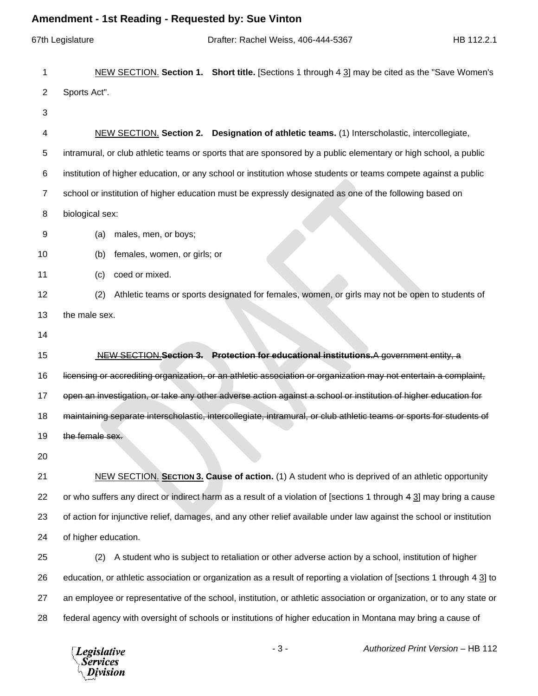|                | Amenament - 1st Reading - Requested by: Sue Vinton                                                                     |
|----------------|------------------------------------------------------------------------------------------------------------------------|
|                | 67th Legislature<br>Drafter: Rachel Weiss, 406-444-5367<br>HB 112.2.1                                                  |
| 1              | NEW SECTION. Section 1. Short title. [Sections 1 through 4 3] may be cited as the "Save Women's                        |
| $\overline{c}$ | Sports Act".                                                                                                           |
| 3              |                                                                                                                        |
| 4              | NEW SECTION. Section 2. Designation of athletic teams. (1) Interscholastic, intercollegiate,                           |
| 5              | intramural, or club athletic teams or sports that are sponsored by a public elementary or high school, a public        |
| 6              | institution of higher education, or any school or institution whose students or teams compete against a public         |
| $\overline{7}$ | school or institution of higher education must be expressly designated as one of the following based on                |
| 8              | biological sex:                                                                                                        |
| 9              | males, men, or boys;<br>(a)                                                                                            |
| 10             | females, women, or girls; or<br>(b)                                                                                    |
| 11             | coed or mixed.<br>(c)                                                                                                  |
| 12             | Athletic teams or sports designated for females, women, or girls may not be open to students of<br>(2)                 |
| 13             | the male sex.                                                                                                          |
| 14             |                                                                                                                        |
| 15             | NEW SECTION Section 3. Protection for educational institutions.A government entity, a                                  |
| 16             | licensing or accrediting organization, or an athletic association or organization may not entertain a complaint,       |
| 17             | open an investigation, or take any other adverse action against a school or institution of higher education for        |
| 18             | maintaining separate interscholastic, intercollegiate, intramural, or club athletic teams or sports for students of    |
| 19             | the female sex.                                                                                                        |
| 20             |                                                                                                                        |
| 21             | NEW SECTION. SECTION 3. Cause of action. (1) A student who is deprived of an athletic opportunity                      |
| 22             | or who suffers any direct or indirect harm as a result of a violation of [sections 1 through 4 3] may bring a cause    |
| 23             | of action for injunctive relief, damages, and any other relief available under law against the school or institution   |
| 24             | of higher education.                                                                                                   |
| 25             | A student who is subject to retaliation or other adverse action by a school, institution of higher<br>(2)              |
| 26             | education, or athletic association or organization as a result of reporting a violation of [sections 1 through 4 3] to |
| 27             | an employee or representative of the school, institution, or athletic association or organization, or to any state or  |
| 28             | federal agency with oversight of schools or institutions of higher education in Montana may bring a cause of           |